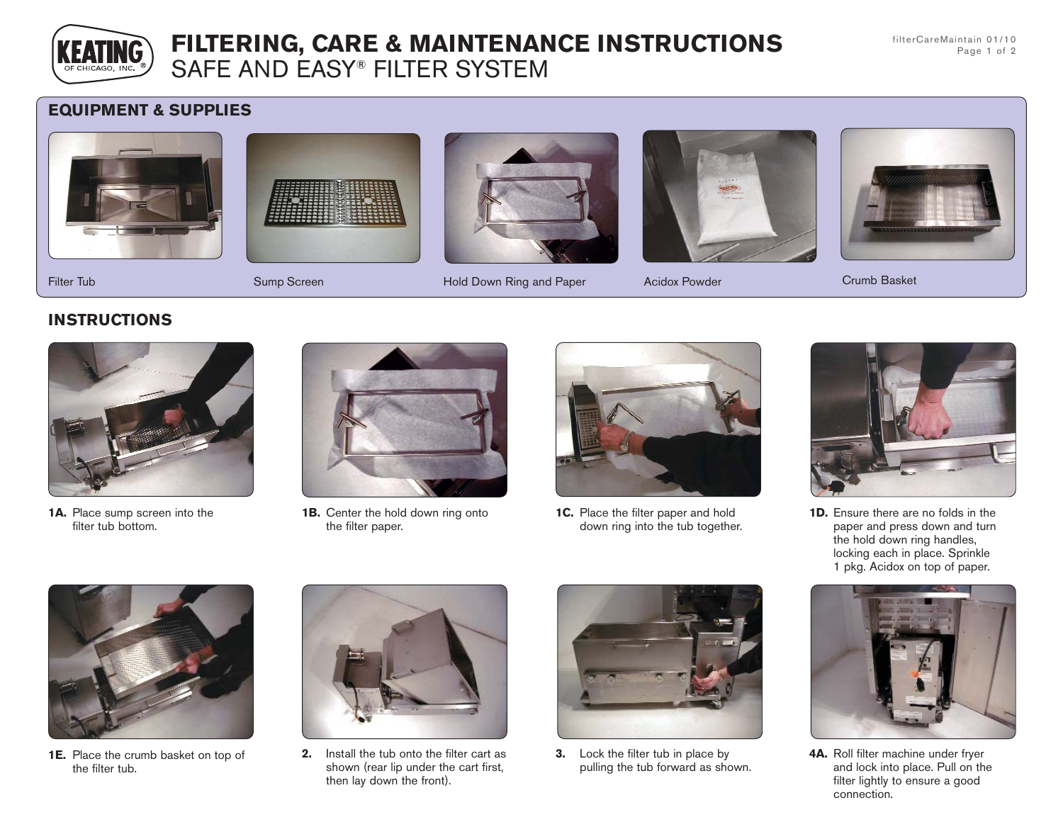

# **FILTERING, CARE & MAINTENANCE INSTRUCTIONS** SAFE AND EASY® FILTER SYSTEM

filterCareMaintain 01/10 Page 1 of 2

## **EQUIPMENT & SUPPLIES**









Filter Tub **Sump Screen** Hold Down Ring and Paper Acidox Powder Crumb Basket Crumb Basket





### **INSTRUCTIONS**



**1A.** Place sump screen into the filter tub bottom.



**1B.** Center the hold down ring onto the filter paper.



**1C.** Place the filter paper and hold down ring into the tub together.



**1D.** Ensure there are no folds in the paper and press down and turn the hold down ring handles, locking each in place. Sprinkle 1 pkg. Acidox on top of paper.



**1E.** Place the crumb basket on top of the filter tub.



**2.** Install the tub onto the filter cart as shown (rear lip under the cart first, then lay down the front).



**3.** Lock the filter tub in place by pulling the tub forward as shown.



**4A.** Roll filter machine under fryer and lock into place. Pull on the filter lightly to ensure a good connection.